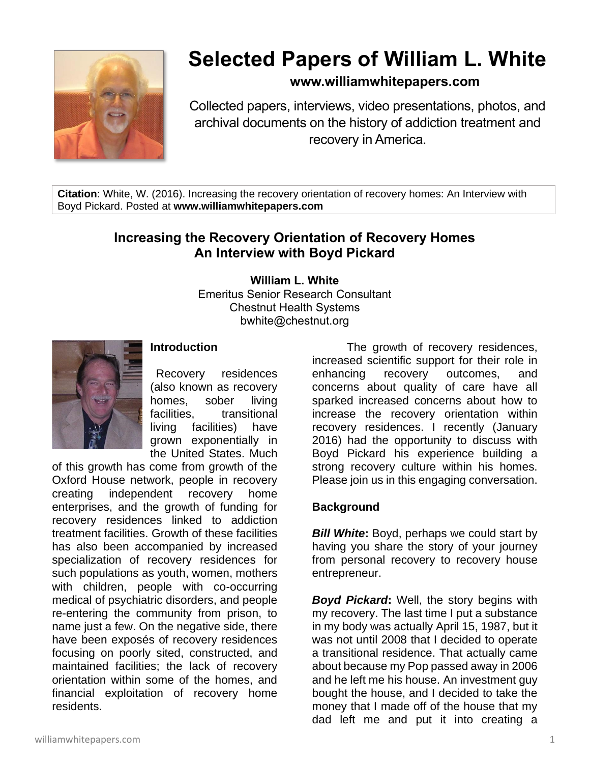

# **Selected Papers of William L. White**

## **www.williamwhitepapers.com**

Collected papers, interviews, video presentations, photos, and archival documents on the history of addiction treatment and recovery in America.

**Citation**: White, W. (2016). Increasing the recovery orientation of recovery homes: An Interview with Boyd Pickard. Posted at **www.williamwhitepapers.com**

# **Increasing the Recovery Orientation of Recovery Homes An Interview with Boyd Pickard**

**William L. White**

Emeritus Senior Research Consultant Chestnut Health Systems bwhite@chestnut.org



## **Introduction**

Recovery residences (also known as recovery homes, sober living facilities, transitional living facilities) have grown exponentially in the United States. Much

of this growth has come from growth of the Oxford House network, people in recovery creating independent recovery home enterprises, and the growth of funding for recovery residences linked to addiction treatment facilities. Growth of these facilities has also been accompanied by increased specialization of recovery residences for such populations as youth, women, mothers with children, people with co-occurring medical of psychiatric disorders, and people re-entering the community from prison, to name just a few. On the negative side, there have been exposés of recovery residences focusing on poorly sited, constructed, and maintained facilities; the lack of recovery orientation within some of the homes, and financial exploitation of recovery home residents.

The growth of recovery residences, increased scientific support for their role in enhancing recovery outcomes, and concerns about quality of care have all sparked increased concerns about how to increase the recovery orientation within recovery residences. I recently (January 2016) had the opportunity to discuss with Boyd Pickard his experience building a strong recovery culture within his homes. Please join us in this engaging conversation.

#### **Background**

*Bill White***:** Boyd, perhaps we could start by having you share the story of your journey from personal recovery to recovery house entrepreneur.

*Boyd Pickard***:** Well, the story begins with my recovery. The last time I put a substance in my body was actually April 15, 1987, but it was not until 2008 that I decided to operate a transitional residence. That actually came about because my Pop passed away in 2006 and he left me his house. An investment guy bought the house, and I decided to take the money that I made off of the house that my dad left me and put it into creating a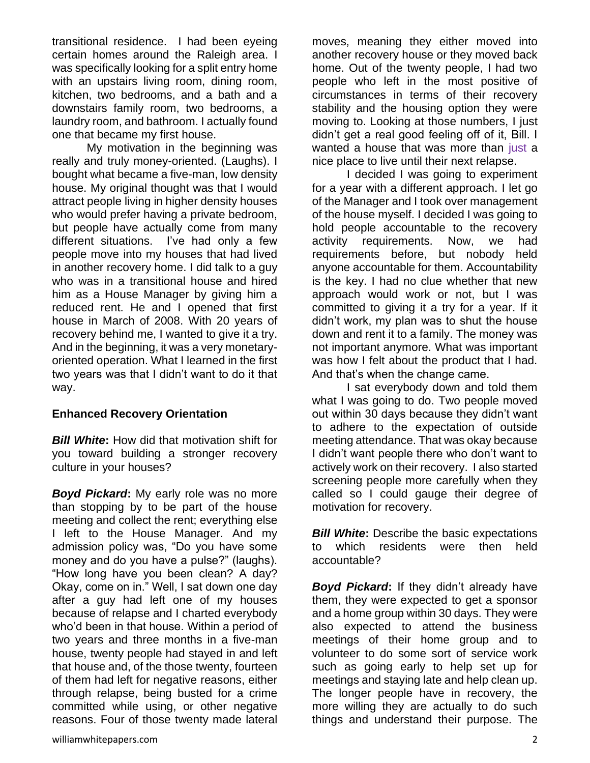transitional residence. I had been eyeing certain homes around the Raleigh area. I was specifically looking for a split entry home with an upstairs living room, dining room, kitchen, two bedrooms, and a bath and a downstairs family room, two bedrooms, a laundry room, and bathroom. I actually found one that became my first house.

My motivation in the beginning was really and truly money-oriented. (Laughs). I bought what became a five-man, low density house. My original thought was that I would attract people living in higher density houses who would prefer having a private bedroom, but people have actually come from many different situations. I've had only a few people move into my houses that had lived in another recovery home. I did talk to a guy who was in a transitional house and hired him as a House Manager by giving him a reduced rent. He and I opened that first house in March of 2008. With 20 years of recovery behind me, I wanted to give it a try. And in the beginning, it was a very monetaryoriented operation. What I learned in the first two years was that I didn't want to do it that way.

#### **Enhanced Recovery Orientation**

*Bill White***:** How did that motivation shift for you toward building a stronger recovery culture in your houses?

*Boyd Pickard***:** My early role was no more than stopping by to be part of the house meeting and collect the rent; everything else I left to the House Manager. And my admission policy was, "Do you have some money and do you have a pulse?" (laughs). "How long have you been clean? A day? Okay, come on in." Well, I sat down one day after a guy had left one of my houses because of relapse and I charted everybody who'd been in that house. Within a period of two years and three months in a five-man house, twenty people had stayed in and left that house and, of the those twenty, fourteen of them had left for negative reasons, either through relapse, being busted for a crime committed while using, or other negative reasons. Four of those twenty made lateral

moves, meaning they either moved into another recovery house or they moved back home. Out of the twenty people, I had two people who left in the most positive of circumstances in terms of their recovery stability and the housing option they were moving to. Looking at those numbers, I just didn't get a real good feeling off of it, Bill. I wanted a house that was more than just a nice place to live until their next relapse.

I decided I was going to experiment for a year with a different approach. I let go of the Manager and I took over management of the house myself. I decided I was going to hold people accountable to the recovery activity requirements. Now, we had requirements before, but nobody held anyone accountable for them. Accountability is the key. I had no clue whether that new approach would work or not, but I was committed to giving it a try for a year. If it didn't work, my plan was to shut the house down and rent it to a family. The money was not important anymore. What was important was how I felt about the product that I had. And that's when the change came.

I sat everybody down and told them what I was going to do. Two people moved out within 30 days because they didn't want to adhere to the expectation of outside meeting attendance. That was okay because I didn't want people there who don't want to actively work on their recovery. I also started screening people more carefully when they called so I could gauge their degree of motivation for recovery.

*Bill White***:** Describe the basic expectations to which residents were then held accountable?

*Boyd Pickard***:** If they didn't already have them, they were expected to get a sponsor and a home group within 30 days. They were also expected to attend the business meetings of their home group and to volunteer to do some sort of service work such as going early to help set up for meetings and staying late and help clean up. The longer people have in recovery, the more willing they are actually to do such things and understand their purpose. The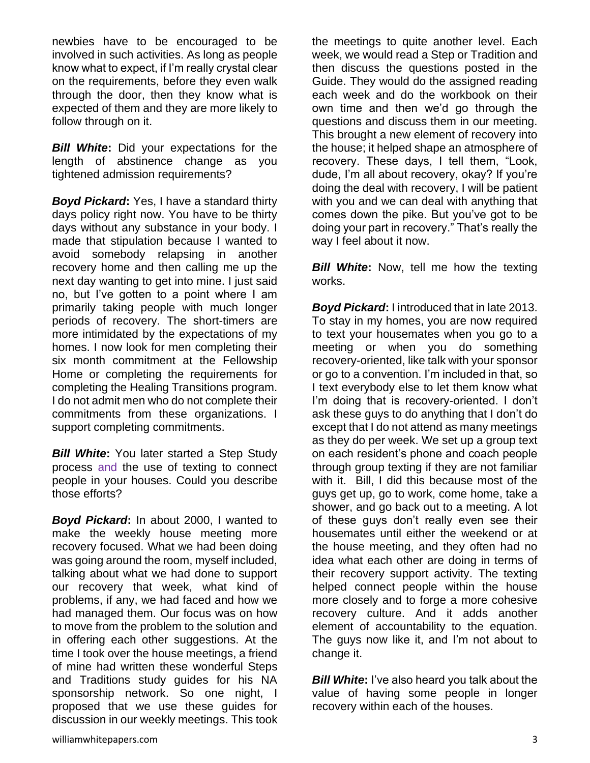newbies have to be encouraged to be involved in such activities. As long as people know what to expect, if I'm really crystal clear on the requirements, before they even walk through the door, then they know what is expected of them and they are more likely to follow through on it.

*Bill White***:** Did your expectations for the length of abstinence change as you tightened admission requirements?

*Boyd Pickard***:** Yes, I have a standard thirty days policy right now. You have to be thirty days without any substance in your body. I made that stipulation because I wanted to avoid somebody relapsing in another recovery home and then calling me up the next day wanting to get into mine. I just said no, but I've gotten to a point where I am primarily taking people with much longer periods of recovery. The short-timers are more intimidated by the expectations of my homes. I now look for men completing their six month commitment at the Fellowship Home or completing the requirements for completing the Healing Transitions program. I do not admit men who do not complete their commitments from these organizations. I support completing commitments.

*Bill White***:** You later started a Step Study process and the use of texting to connect people in your houses. Could you describe those efforts?

*Boyd Pickard***:** In about 2000, I wanted to make the weekly house meeting more recovery focused. What we had been doing was going around the room, myself included, talking about what we had done to support our recovery that week, what kind of problems, if any, we had faced and how we had managed them. Our focus was on how to move from the problem to the solution and in offering each other suggestions. At the time I took over the house meetings, a friend of mine had written these wonderful Steps and Traditions study guides for his NA sponsorship network. So one night, I proposed that we use these guides for discussion in our weekly meetings. This took

the meetings to quite another level. Each week, we would read a Step or Tradition and then discuss the questions posted in the Guide. They would do the assigned reading each week and do the workbook on their own time and then we'd go through the questions and discuss them in our meeting. This brought a new element of recovery into the house; it helped shape an atmosphere of recovery. These days, I tell them, "Look, dude, I'm all about recovery, okay? If you're doing the deal with recovery, I will be patient with you and we can deal with anything that comes down the pike. But you've got to be doing your part in recovery." That's really the way I feel about it now.

*Bill White:* Now, tell me how the texting works.

*Boyd Pickard***:** I introduced that in late 2013. To stay in my homes, you are now required to text your housemates when you go to a meeting or when you do something recovery-oriented, like talk with your sponsor or go to a convention. I'm included in that, so I text everybody else to let them know what I'm doing that is recovery-oriented. I don't ask these guys to do anything that I don't do except that I do not attend as many meetings as they do per week. We set up a group text on each resident's phone and coach people through group texting if they are not familiar with it. Bill, I did this because most of the guys get up, go to work, come home, take a shower, and go back out to a meeting. A lot of these guys don't really even see their housemates until either the weekend or at the house meeting, and they often had no idea what each other are doing in terms of their recovery support activity. The texting helped connect people within the house more closely and to forge a more cohesive recovery culture. And it adds another element of accountability to the equation. The guys now like it, and I'm not about to change it.

*Bill White***:** I've also heard you talk about the value of having some people in longer recovery within each of the houses.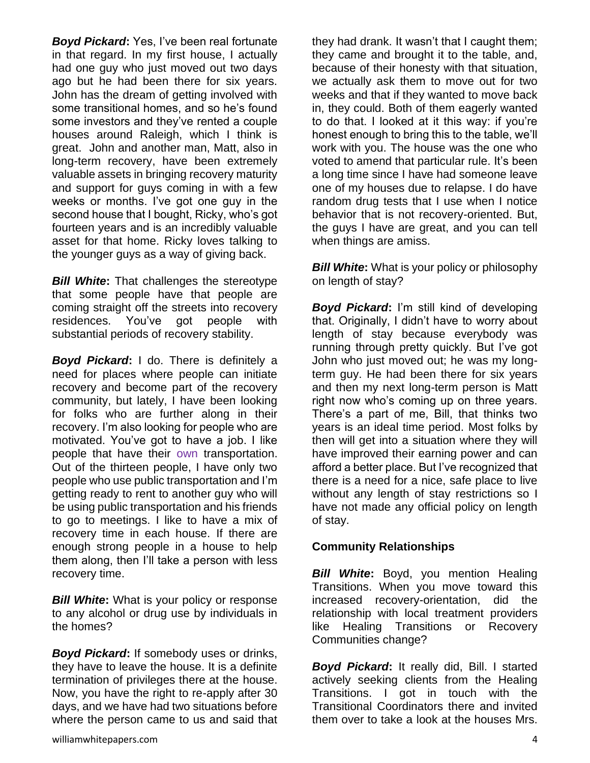*Boyd Pickard***:** Yes, I've been real fortunate in that regard. In my first house, I actually had one guy who just moved out two days ago but he had been there for six years. John has the dream of getting involved with some transitional homes, and so he's found some investors and they've rented a couple houses around Raleigh, which I think is great. John and another man, Matt, also in long-term recovery, have been extremely valuable assets in bringing recovery maturity and support for guys coming in with a few weeks or months. I've got one guy in the second house that I bought, Ricky, who's got fourteen years and is an incredibly valuable asset for that home. Ricky loves talking to the younger guys as a way of giving back.

*Bill White***:** That challenges the stereotype that some people have that people are coming straight off the streets into recovery residences. You've got people with substantial periods of recovery stability.

*Boyd Pickard***:** I do. There is definitely a need for places where people can initiate recovery and become part of the recovery community, but lately, I have been looking for folks who are further along in their recovery. I'm also looking for people who are motivated. You've got to have a job. I like people that have their own transportation. Out of the thirteen people, I have only two people who use public transportation and I'm getting ready to rent to another guy who will be using public transportation and his friends to go to meetings. I like to have a mix of recovery time in each house. If there are enough strong people in a house to help them along, then I'll take a person with less recovery time.

*Bill White***:** What is your policy or response to any alcohol or drug use by individuals in the homes?

*Boyd Pickard***:** If somebody uses or drinks, they have to leave the house. It is a definite termination of privileges there at the house. Now, you have the right to re-apply after 30 days, and we have had two situations before where the person came to us and said that they had drank. It wasn't that I caught them; they came and brought it to the table, and, because of their honesty with that situation, we actually ask them to move out for two weeks and that if they wanted to move back in, they could. Both of them eagerly wanted to do that. I looked at it this way: if you're honest enough to bring this to the table, we'll work with you. The house was the one who voted to amend that particular rule. It's been a long time since I have had someone leave one of my houses due to relapse. I do have random drug tests that I use when I notice behavior that is not recovery-oriented. But, the guys I have are great, and you can tell when things are amiss.

*Bill White:* What is your policy or philosophy on length of stay?

*Boyd Pickard***:** I'm still kind of developing that. Originally, I didn't have to worry about length of stay because everybody was running through pretty quickly. But I've got John who just moved out; he was my longterm guy. He had been there for six years and then my next long-term person is Matt right now who's coming up on three years. There's a part of me, Bill, that thinks two years is an ideal time period. Most folks by then will get into a situation where they will have improved their earning power and can afford a better place. But I've recognized that there is a need for a nice, safe place to live without any length of stay restrictions so I have not made any official policy on length of stay.

#### **Community Relationships**

*Bill White***:** Boyd, you mention Healing Transitions. When you move toward this increased recovery-orientation, did the relationship with local treatment providers like Healing Transitions or Recovery Communities change?

*Boyd Pickard***:** It really did, Bill. I started actively seeking clients from the Healing Transitions. I got in touch with the Transitional Coordinators there and invited them over to take a look at the houses Mrs.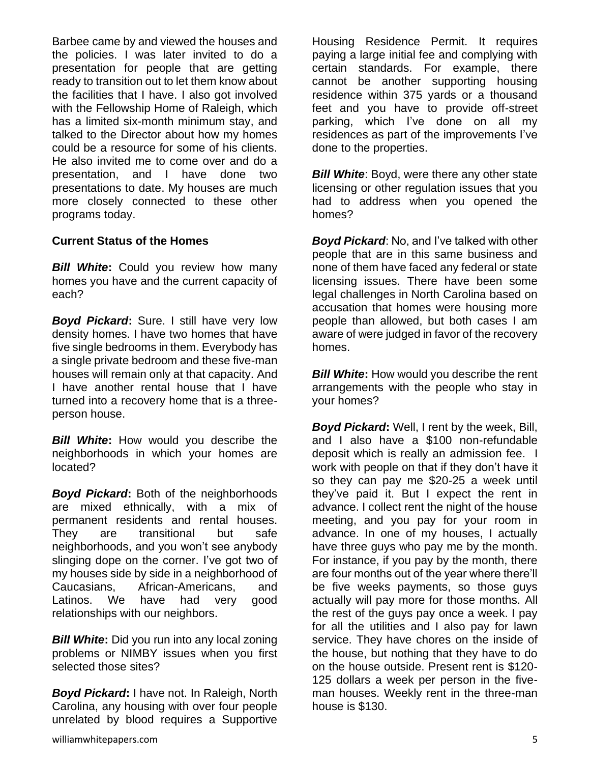Barbee came by and viewed the houses and the policies. I was later invited to do a presentation for people that are getting ready to transition out to let them know about the facilities that I have. I also got involved with the Fellowship Home of Raleigh, which has a limited six-month minimum stay, and talked to the Director about how my homes could be a resource for some of his clients. He also invited me to come over and do a presentation, and I have done two presentations to date. My houses are much more closely connected to these other programs today.

## **Current Status of the Homes**

*Bill White***:** Could you review how many homes you have and the current capacity of each?

*Boyd Pickard***:** Sure. I still have very low density homes. I have two homes that have five single bedrooms in them. Everybody has a single private bedroom and these five-man houses will remain only at that capacity. And I have another rental house that I have turned into a recovery home that is a threeperson house.

*Bill White***:** How would you describe the neighborhoods in which your homes are located?

*Boyd Pickard***:** Both of the neighborhoods are mixed ethnically, with a mix of permanent residents and rental houses. They are transitional but safe neighborhoods, and you won't see anybody slinging dope on the corner. I've got two of my houses side by side in a neighborhood of Caucasians, African-Americans, and Latinos. We have had very good relationships with our neighbors.

*Bill White***:** Did you run into any local zoning problems or NIMBY issues when you first selected those sites?

*Boyd Pickard***:** I have not. In Raleigh, North Carolina, any housing with over four people unrelated by blood requires a Supportive

Housing Residence Permit. It requires paying a large initial fee and complying with certain standards. For example, there cannot be another supporting housing residence within 375 yards or a thousand feet and you have to provide off-street parking, which I've done on all my residences as part of the improvements I've done to the properties.

**Bill White:** Boyd, were there any other state licensing or other regulation issues that you had to address when you opened the homes?

*Boyd Pickard*: No, and I've talked with other people that are in this same business and none of them have faced any federal or state licensing issues. There have been some legal challenges in North Carolina based on accusation that homes were housing more people than allowed, but both cases I am aware of were judged in favor of the recovery homes.

*Bill White***:** How would you describe the rent arrangements with the people who stay in your homes?

*Boyd Pickard***:** Well, I rent by the week, Bill, and I also have a \$100 non-refundable deposit which is really an admission fee. I work with people on that if they don't have it so they can pay me \$20-25 a week until they've paid it. But I expect the rent in advance. I collect rent the night of the house meeting, and you pay for your room in advance. In one of my houses, I actually have three guys who pay me by the month. For instance, if you pay by the month, there are four months out of the year where there'll be five weeks payments, so those guys actually will pay more for those months. All the rest of the guys pay once a week. I pay for all the utilities and I also pay for lawn service. They have chores on the inside of the house, but nothing that they have to do on the house outside. Present rent is \$120- 125 dollars a week per person in the fiveman houses. Weekly rent in the three-man house is \$130.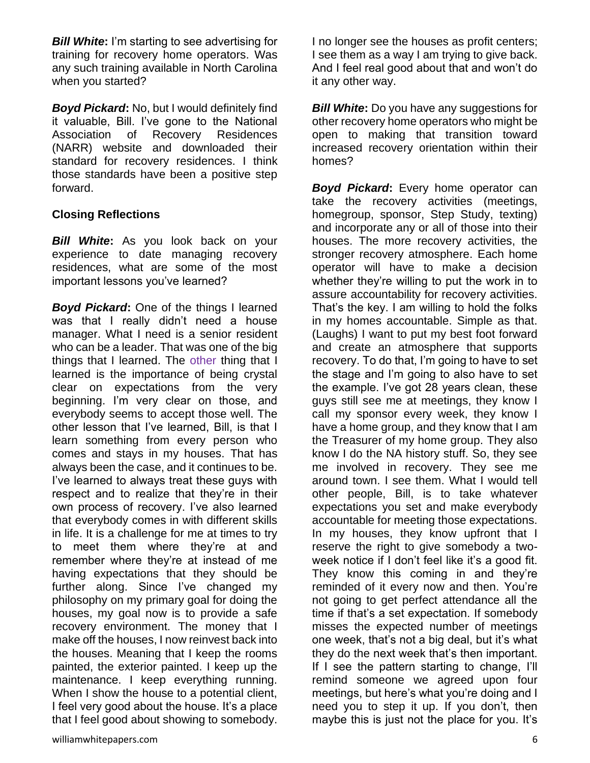*Bill White***:** I'm starting to see advertising for training for recovery home operators. Was any such training available in North Carolina when you started?

*Boyd Pickard***:** No, but I would definitely find it valuable, Bill. I've gone to the National Association of Recovery Residences (NARR) website and downloaded their standard for recovery residences. I think those standards have been a positive step forward.

#### **Closing Reflections**

*Bill White***:** As you look back on your experience to date managing recovery residences, what are some of the most important lessons you've learned?

*Boyd Pickard***:** One of the things I learned was that I really didn't need a house manager. What I need is a senior resident who can be a leader. That was one of the big things that I learned. The other thing that I learned is the importance of being crystal clear on expectations from the very beginning. I'm very clear on those, and everybody seems to accept those well. The other lesson that I've learned, Bill, is that I learn something from every person who comes and stays in my houses. That has always been the case, and it continues to be. I've learned to always treat these guys with respect and to realize that they're in their own process of recovery. I've also learned that everybody comes in with different skills in life. It is a challenge for me at times to try to meet them where they're at and remember where they're at instead of me having expectations that they should be further along. Since I've changed my philosophy on my primary goal for doing the houses, my goal now is to provide a safe recovery environment. The money that I make off the houses, I now reinvest back into the houses. Meaning that I keep the rooms painted, the exterior painted. I keep up the maintenance. I keep everything running. When I show the house to a potential client, I feel very good about the house. It's a place that I feel good about showing to somebody.

*Bill White:* Do you have any suggestions for other recovery home operators who might be open to making that transition toward increased recovery orientation within their homes?

**Boyd Pickard:** Every home operator can take the recovery activities (meetings, homegroup, sponsor, Step Study, texting) and incorporate any or all of those into their houses. The more recovery activities, the stronger recovery atmosphere. Each home operator will have to make a decision whether they're willing to put the work in to assure accountability for recovery activities. That's the key. I am willing to hold the folks in my homes accountable. Simple as that. (Laughs) I want to put my best foot forward and create an atmosphere that supports recovery. To do that, I'm going to have to set the stage and I'm going to also have to set the example. I've got 28 years clean, these guys still see me at meetings, they know I call my sponsor every week, they know I have a home group, and they know that I am the Treasurer of my home group. They also know I do the NA history stuff. So, they see me involved in recovery. They see me around town. I see them. What I would tell other people, Bill, is to take whatever expectations you set and make everybody accountable for meeting those expectations. In my houses, they know upfront that I reserve the right to give somebody a twoweek notice if I don't feel like it's a good fit. They know this coming in and they're reminded of it every now and then. You're not going to get perfect attendance all the time if that's a set expectation. If somebody misses the expected number of meetings one week, that's not a big deal, but it's what they do the next week that's then important. If I see the pattern starting to change, I'll remind someone we agreed upon four meetings, but here's what you're doing and I need you to step it up. If you don't, then maybe this is just not the place for you. It's